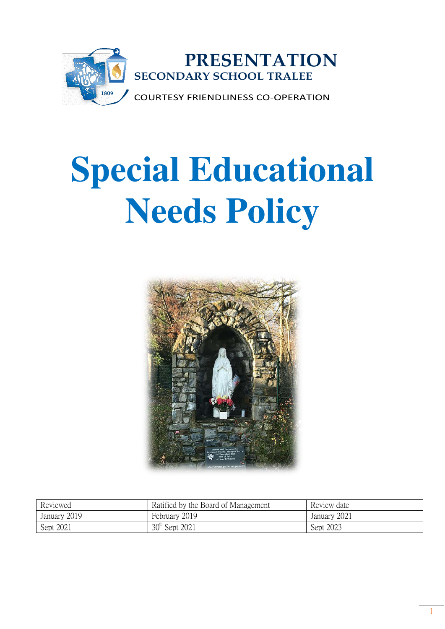

# **Special Educational Needs Policy**



| Reviewed     | Ratified by the Board of Management | Review date  |
|--------------|-------------------------------------|--------------|
| January 2019 | February 2019                       | January 2021 |
| Sept 2021    | 30 <sup>th</sup> Sept 2021          | Sept 2023    |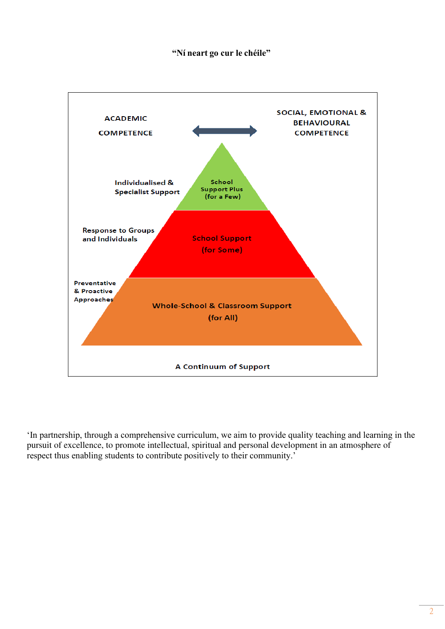## **"Ní neart go cur le chéile"**



'In partnership, through a comprehensive curriculum, we aim to provide quality teaching and learning in the pursuit of excellence, to promote intellectual, spiritual and personal development in an atmosphere of respect thus enabling students to contribute positively to their community.'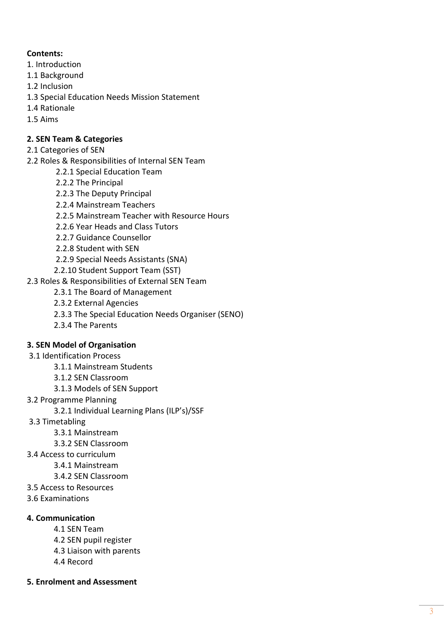## **Contents:**

- 1. Introduction
- 1.1 Background
- 1.2 Inclusion
- 1.3 Special Education Needs Mission Statement
- 1.4 Rationale
- 1.5 Aims

## **2. SEN Team & Categories**

- 2.1 Categories of SEN
- 2.2 Roles & Responsibilities of Internal SEN Team
	- 2.2.1 Special Education Team
	- 2.2.2 The Principal
	- 2.2.3 The Deputy Principal
	- 2.2.4 Mainstream Teachers
	- 2.2.5 Mainstream Teacher with Resource Hours
	- 2.2.6 Year Heads and Class Tutors
	- 2.2.7 Guidance Counsellor
	- 2.2.8 Student with SEN
	- 2.2.9 Special Needs Assistants (SNA)
	- 2.2.10 Student Support Team (SST)
- 2.3 Roles & Responsibilities of External SEN Team
	- 2.3.1 The Board of Management
	- 2.3.2 External Agencies
	- 2.3.3 The Special Education Needs Organiser (SENO)
	- 2.3.4 The Parents

## **3. SEN Model of Organisation**

- 3.1 Identification Process
	- 3.1.1 Mainstream Students
	- 3.1.2 SEN Classroom
	- 3.1.3 Models of SEN Support
- 3.2 Programme Planning
	- 3.2.1 Individual Learning Plans (ILP's)/SSF
- 3.3 Timetabling
	- 3.3.1 Mainstream
	- 3.3.2 SEN Classroom
- 3.4 Access to curriculum
	- 3.4.1 Mainstream
		- 3.4.2 SEN Classroom
- 3.5 Access to Resources
- 3.6 Examinations

## **4. Communication**

- 4.1 SEN Team
- 4.2 SEN pupil register
- 4.3 Liaison with parents
- 4.4 Record
- **5. Enrolment and Assessment**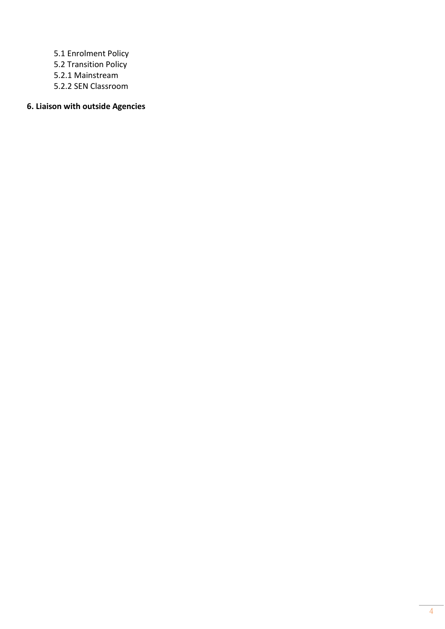5.1 Enrolment Policy 5.2 Transition Policy 5.2.1 Mainstream 5.2.2 SEN Classroom

## **6. Liaison with outside Agencies**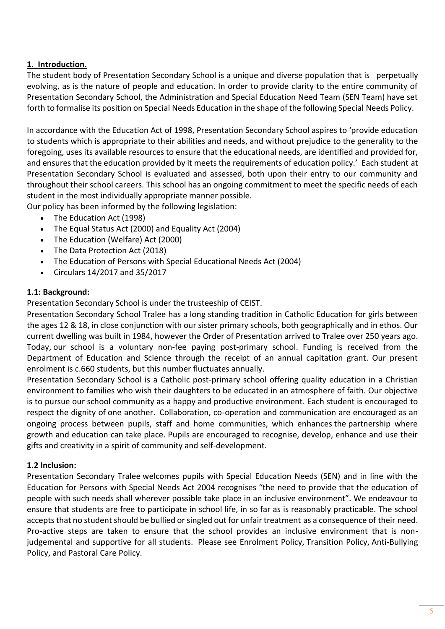## **1.  Introduction.**

The student body of Presentation Secondary School is a unique and diverse population that is   perpetually evolving, as is the nature of people and education. In order to provide clarity to the entire community of Presentation Secondary School, the Administration and Special Education Need Team (SEN Team) have set forth to formalise its position on Special Needs Education in the shape of the following Special Needs Policy. 

In accordance with the Education Act of 1998, Presentation Secondary School aspires to 'provide education to students which is appropriate to their abilities and needs, and without prejudice to the generality to the foregoing, uses its available resources to ensure that the educational needs, are identified and provided for, and ensures that the education provided by it meets the requirements of education policy.'  Each student at Presentation Secondary School is evaluated and assessed, both upon their entry to our community and throughout their school careers. This school has an ongoing commitment to meet the specific needs of each student in the most individually appropriate manner possible. 

Our policy has been informed by the following legislation:

- The Education Act (1998)
- The Equal Status Act (2000) and Equality Act (2004)
- The Education (Welfare) Act (2000)
- The Data Protection Act (2018)
- The Education of Persons with Special Educational Needs Act (2004)
- Circulars 14/2017 and 35/2017

#### **1.1: Background:**

Presentation Secondary School is under the trusteeship of CEIST. 

Presentation Secondary School Tralee has a long standing tradition in Catholic Education for girls between the ages 12 & 18, in close conjunction with our sister primary schools, both geographically and in ethos. Our current dwelling was built in 1984, however the Order of Presentation arrived to Tralee over 250 years ago. Today, our school is a voluntary non-fee paying post-primary school. Funding is received from the Department of Education and Science through the receipt of an annual capitation grant. Our present enrolment is c.660 students, but this number fluctuates annually. 

Presentation Secondary School is a Catholic post-primary school offering quality education in a Christian environment to families who wish their daughters to be educated in an atmosphere of faith. Our objective is to pursue our school community as a happy and productive environment. Each student is encouraged to respect the dignity of one another.  Collaboration, co-operation and communication are encouraged as an ongoing process between pupils, staff and home communities, which enhances the partnership where growth and education can take place. Pupils are encouraged to recognise, develop, enhance and use their gifts and creativity in a spirit of community and self-development. 

## **1.2 Inclusion:**

Presentation Secondary Tralee welcomes pupils with Special Education Needs (SEN) and in line with the Education for Persons with Special Needs Act 2004 recognises "the need to provide that the education of people with such needs shall wherever possible take place in an inclusive environment". We endeavour to ensure that students are free to participate in school life, in so far as is reasonably practicable. The school accepts that no student should be bullied or singled out for unfair treatment as a consequence of their need. Pro-active steps are taken to ensure that the school provides an inclusive environment that is nonjudgemental and supportive for all students. Please see Enrolment Policy, Transition Policy, Anti-Bullying Policy, and Pastoral Care Policy.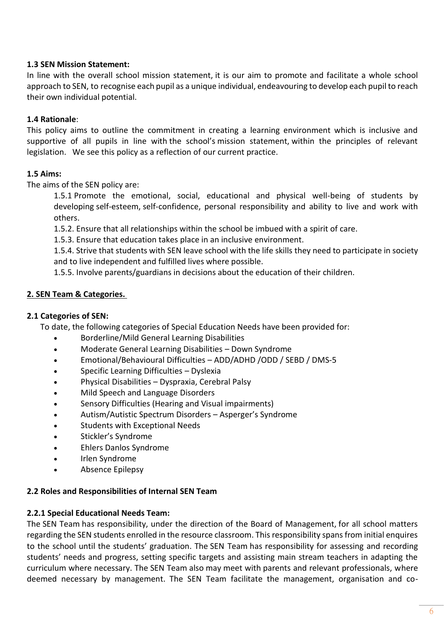## **1.3 SEN Mission Statement:**

In line with the overall school mission statement, it is our aim to promote and facilitate a whole school approach to SEN, to recognise each pupil as a unique individual, endeavouring to develop each pupil to reach their own individual potential. 

#### **1.4 Rationale**:

This policy aims to outline the commitment in creating a learning environment which is inclusive and supportive of all pupils in line with the school's mission statement, within the principles of relevant legislation.   We see this policy as a reflection of our current practice. 

#### **1.5 Aims:**

The aims of the SEN policy are:  

1.5.1 Promote the emotional, social, educational and physical well-being of students by developing self-esteem, self-confidence, personal responsibility and ability to live and work with others.  

1.5.2. Ensure that all relationships within the school be imbued with a spirit of care.  

1.5.3. Ensure that education takes place in an inclusive environment.  

1.5.4. Strive that students with SEN leave school with the life skills they need to participate in society and to live independent and fulfilled lives where possible.  

1.5.5. Involve parents/guardians in decisions about the education of their children. 

#### **2. SEN Team & Categories.**

#### **2.1 Categories of SEN:**

To date, the following categories of Special Education Needs have been provided for:       

- Borderline/Mild General Learning Disabilities
- Moderate General Learning Disabilities Down Syndrome
- Emotional/Behavioural Difficulties ADD/ADHD /ODD / SEBD / DMS-5
- Specific Learning Difficulties Dyslexia
- Physical Disabilities Dyspraxia, Cerebral Palsy
- Mild Speech and Language Disorders
- Sensory Difficulties (Hearing and Visual impairments)
- Autism/Autistic Spectrum Disorders Asperger's Syndrome
- Students with Exceptional Needs
- Stickler's Syndrome
- Ehlers Danlos Syndrome
- Irlen Syndrome
- Absence Epilepsy

#### **2.2 Roles and Responsibilities of Internal SEN Team**

#### **2.2.1 Special Educational Needs Team:**

The SEN Team has responsibility, under the direction of the Board of Management, for all school matters regarding the SEN students enrolled in the resource classroom. This responsibility spans from initial enquires to the school until the students' graduation. The SEN Team has responsibility for assessing and recording students' needs and progress, setting specific targets and assisting main stream teachers in adapting the curriculum where necessary. The SEN Team also may meet with parents and relevant professionals, where deemed necessary by management.  The SEN Team facilitate the management, organisation and co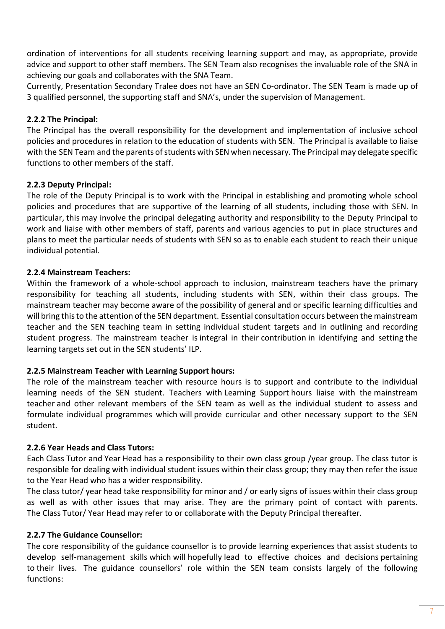ordination of interventions for all students receiving learning support and may, as appropriate, provide advice and support to other staff members. The SEN Team also recognises the invaluable role of the SNA in achieving our goals and collaborates with the SNA Team.  

Currently, Presentation Secondary Tralee does not have an SEN Co-ordinator. The SEN Team is made up of 3 qualified personnel, the supporting staff and SNA's, under the supervision of Management. 

## **2.2.2 The Principal:**

The Principal has the overall responsibility for the development and implementation of inclusive school policies and procedures in relation to the education of students with SEN.  The Principal is available to liaise with the SEN Team and the parents of students with SEN when necessary. The Principal may delegate specific functions to other members of the staff.    

## **2.2.3 Deputy Principal:**

The role of the Deputy Principal is to work with the Principal in establishing and promoting whole school policies and procedures that are supportive of the learning of all students, including those with SEN. In particular, this may involve the principal delegating authority and responsibility to the Deputy Principal to work and liaise with other members of staff, parents and various agencies to put in place structures and plans to meet the particular needs of students with SEN so as to enable each student to reach their unique individual potential.    

## **2.2.4 Mainstream Teachers:**

Within the framework of a whole-school approach to inclusion, mainstream teachers have the primary responsibility for teaching all students, including students with SEN, within their class groups. The mainstream teacher may become aware of the possibility of general and or specific learning difficulties and will bring this to the attention of the SEN department. Essential consultation occurs between the mainstream teacher and the SEN teaching team in setting individual student targets and in outlining and recording student progress. The mainstream teacher is integral in their contribution in identifying and setting the learning targets set out in the SEN students' ILP.   

## **2.2.5 Mainstream Teacher with Learning Support hours:**

The role of the mainstream teacher with resource hours is to support and contribute to the individual learning needs of the SEN student. Teachers with Learning Support hours liaise with the mainstream teacher and other relevant members of the SEN team as well as the individual student to assess and formulate individual programmes which will provide curricular and other necessary support to the SEN student.    

## **2.2.6 Year Heads and Class Tutors:**

Each Class Tutor and Year Head has a responsibility to their own class group /year group. The class tutor is responsible for dealing with individual student issues within their class group; they may then refer the issue to the Year Head who has a wider responsibility.  

The class tutor/ year head take responsibility for minor and / or early signs of issues within their class group as well as with other issues that may arise. They are the primary point of contact with parents. The Class Tutor/ Year Head may refer to or collaborate with the Deputy Principal thereafter.   

## **2.2.7 The Guidance Counsellor:**

The core responsibility of the guidance counsellor is to provide learning experiences that assist students to develop self-management skills which will hopefully lead to effective choices and decisions pertaining to their lives.  The guidance counsellors' role within the SEN team consists largely of the following functions: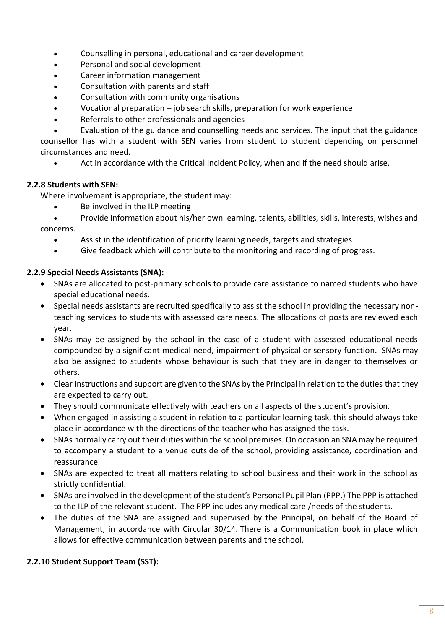- Counselling in personal, educational and career development
- Personal and social development
- Career information management
- Consultation with parents and staff
- Consultation with community organisations
- Vocational preparation job search skills, preparation for work experience
- Referrals to other professionals and agencies
- Evaluation of the guidance and counselling needs and services. The input that the guidance

counsellor has with a student with SEN varies from student to student depending on personnel circumstances and need.

• Act in accordance with the Critical Incident Policy, when and if the need should arise.

## **2.2.8 Students with SEN:**

Where involvement is appropriate, the student may:  

- Be involved in the ILP meeting
- Provide information about his/her own learning, talents, abilities, skills, interests, wishes and concerns.
	- Assist in the identification of priority learning needs, targets and strategies
	- Give feedback which will contribute to the monitoring and recording of progress.

## **2.2.9 Special Needs Assistants (SNA):**

- SNAs are allocated to post-primary schools to provide care assistance to named students who have special educational needs.
- Special needs assistants are recruited specifically to assist the school in providing the necessary nonteaching services to students with assessed care needs. The allocations of posts are reviewed each year.
- SNAs may be assigned by the school in the case of a student with assessed educational needs compounded by a significant medical need, impairment of physical or sensory function. SNAs may also be assigned to students whose behaviour is such that they are in danger to themselves or others.
- Clear instructions and support are given to the SNAs by the Principal in relation to the duties that they are expected to carry out.
- They should communicate effectively with teachers on all aspects of the student's provision.
- When engaged in assisting a student in relation to a particular learning task, this should always take place in accordance with the directions of the teacher who has assigned the task.
- SNAs normally carry out their duties within the school premises. On occasion an SNA may be required to accompany a student to a venue outside of the school, providing assistance, coordination and reassurance.
- SNAs are expected to treat all matters relating to school business and their work in the school as strictly confidential.
- SNAs are involved in the development of the student's Personal Pupil Plan (PPP.) The PPP is attached to the ILP of the relevant student. The PPP includes any medical care /needs of the students.
- The duties of the SNA are assigned and supervised by the Principal, on behalf of the Board of Management, in accordance with Circular 30/14. There is a Communication book in place which allows for effective communication between parents and the school.

## **2.2.10 Student Support Team (SST):**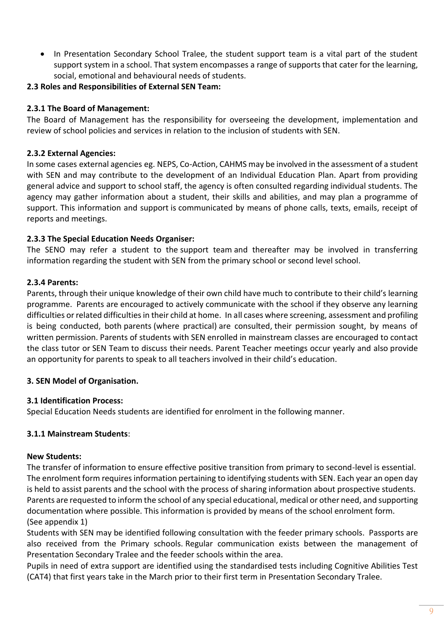- In Presentation Secondary School Tralee, the student support team is a vital part of the student support system in a school. That system encompasses a range of supports that cater for the learning, social, emotional and behavioural needs of students.
- **2.3 Roles and Responsibilities of External SEN Team:**

## **2.3.1 The Board of Management:**

The Board of Management has the responsibility for overseeing the development, implementation and review of school policies and services in relation to the inclusion of students with SEN.

## **2.3.2 External Agencies:**

In some cases external agencies eg. NEPS, Co-Action, CAHMS may be involved in the assessment of a student with SEN and may contribute to the development of an Individual Education Plan. Apart from providing general advice and support to school staff, the agency is often consulted regarding individual students. The agency may gather information about a student, their skills and abilities, and may plan a programme of support. This information and support is communicated by means of phone calls, texts, emails, receipt of reports and meetings.    

#### **2.3.3 The Special Education Needs Organiser:**

The SENO may refer a student to the support team and thereafter may be involved in transferring information regarding the student with SEN from the primary school or second level school.    

#### **2.3.4 Parents:**

Parents, through their unique knowledge of their own child have much to contribute to their child's learning programme.  Parents are encouraged to actively communicate with the school if they observe any learning difficulties or related difficulties in their child at home.  In all cases where screening, assessment and profiling is being conducted, both parents (where practical) are consulted, their permission sought, by means of written permission. Parents of students with SEN enrolled in mainstream classes are encouraged to contact the class tutor or SEN Team to discuss their needs. Parent Teacher meetings occur yearly and also provide an opportunity for parents to speak to all teachers involved in their child's education.     

#### **3. SEN Model of Organisation.**

#### **3.1 Identification Process:**

Special Education Needs students are identified for enrolment in the following manner.

## **3.1.1 Mainstream Students**:

#### **New Students:**

The transfer of information to ensure effective positive transition from primary to second-level is essential.  The enrolment form requires information pertaining to identifying students with SEN. Each year an open day is held to assist parents and the school with the process of sharing information about prospective students.  Parents are requested to inform the school of any special educational, medical or other need, and supporting documentation where possible. This information is provided by means of the school enrolment form.   (See appendix 1)    

Students with SEN may be identified following consultation with the feeder primary schools. Passports are also received from the Primary schools. Regular communication exists between the management of Presentation Secondary Tralee and the feeder schools within the area.  

Pupils in need of extra support are identified using the standardised tests including Cognitive Abilities Test (CAT4) that first years take in the March prior to their first term in Presentation Secondary Tralee.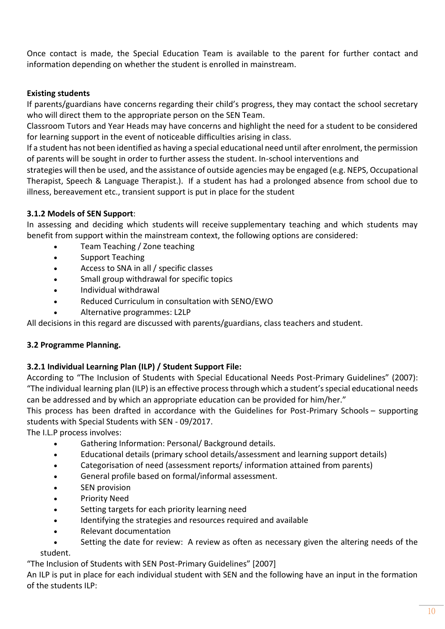Once contact is made, the Special Education Team is available to the parent for further contact and information depending on whether the student is enrolled in mainstream. 

## **Existing students**

If parents/guardians have concerns regarding their child's progress, they may contact the school secretary who will direct them to the appropriate person on the SEN Team.  

Classroom Tutors and Year Heads may have concerns and highlight the need for a student to be considered for learning support in the event of noticeable difficulties arising in class.  

If a student has not been identified as having a special educational need until after enrolment, the permission of parents will be sought in order to further assess the student. In-school interventions and

strategies will then be used, and the assistance of outside agencies may be engaged (e.g. NEPS, Occupational Therapist, Speech & Language Therapist.). If a student has had a prolonged absence from school due to illness, bereavement etc., transient support is put in place for the student

## **3.1.2 Models of SEN Support**:

In assessing and deciding which students will receive supplementary teaching and which students may benefit from support within the mainstream context, the following options are considered:  

- Team Teaching / Zone teaching
- Support Teaching
- Access to SNA in all / specific classes
- Small group withdrawal for specific topics
- Individual withdrawal
- Reduced Curriculum in consultation with SENO/EWO
- Alternative programmes: L2LP

All decisions in this regard are discussed with parents/guardians, class teachers and student.   

## **3.2 Programme Planning.**

## **3.2.1 Individual Learning Plan (ILP) / Student Support File:**

According to "The Inclusion of Students with Special Educational Needs Post-Primary Guidelines" (2007): "The individual learning plan (ILP) is an effective process through which a student's special educational needs can be addressed and by which an appropriate education can be provided for him/her." 

This process has been drafted in accordance with the Guidelines for Post-Primary Schools – supporting students with Special Students with SEN - 09/2017.

The I.L.P process involves:   

- Gathering Information: Personal/ Background details.
- Educational details (primary school details/assessment and learning support details)
- Categorisation of need (assessment reports/ information attained from parents)
- General profile based on formal/informal assessment.
- **SEN provision**
- Priority Need
- Setting targets for each priority learning need
- Identifying the strategies and resources required and available
- Relevant documentation
- Setting the date for review: A review as often as necessary given the altering needs of the student.

"The Inclusion of Students with SEN Post-Primary Guidelines" [2007]   

An ILP is put in place for each individual student with SEN and the following have an input in the formation of the students ILP: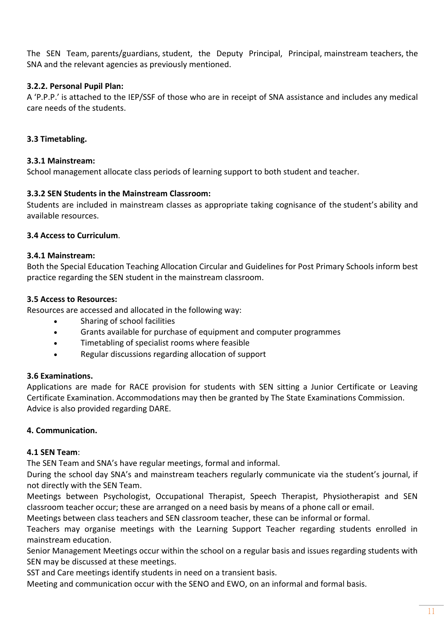The SEN Team, parents/guardians, student, the Deputy Principal, Principal, mainstream teachers, the SNA and the relevant agencies as previously mentioned.

## **3.2.2. Personal Pupil Plan:**

A 'P.P.P.' is attached to the IEP/SSF of those who are in receipt of SNA assistance and includes any medical care needs of the students.

## **3.3 Timetabling.**

#### **3.3.1 Mainstream:**

School management allocate class periods of learning support to both student and teacher.

## **3.3.2 SEN Students in the Mainstream Classroom:**

Students are included in mainstream classes as appropriate taking cognisance of the student's ability and available resources.     

#### **3.4 Access to Curriculum**.

#### **3.4.1 Mainstream:**

Both the Special Education Teaching Allocation Circular and Guidelines for Post Primary Schools inform best practice regarding the SEN student in the mainstream classroom.  

#### **3.5 Access to Resources:**

Resources are accessed and allocated in the following way:  

- Sharing of school facilities
- Grants available for purchase of equipment and computer programmes
- Timetabling of specialist rooms where feasible
- Regular discussions regarding allocation of support

#### **3.6 Examinations.**

Applications are made for RACE provision for students with SEN sitting a Junior Certificate or Leaving Certificate Examination. Accommodations may then be granted by The State Examinations Commission.      Advice is also provided regarding DARE. 

## **4. Communication.**

#### **4.1 SEN Team**:

The SEN Team and SNA's have regular meetings, formal and informal.  

During the school day SNA's and mainstream teachers regularly communicate via the student's journal, if not directly with the SEN Team.  

Meetings between Psychologist, Occupational Therapist, Speech Therapist, Physiotherapist and SEN classroom teacher occur; these are arranged on a need basis by means of a phone call or email.   

Meetings between class teachers and SEN classroom teacher, these can be informal or formal.  

Teachers may organise meetings with the Learning Support Teacher regarding students enrolled in mainstream education.  

Senior Management Meetings occur within the school on a regular basis and issues regarding students with SEN may be discussed at these meetings.  

SST and Care meetings identify students in need on a transient basis.

Meeting and communication occur with the SENO and EWO, on an informal and formal basis.